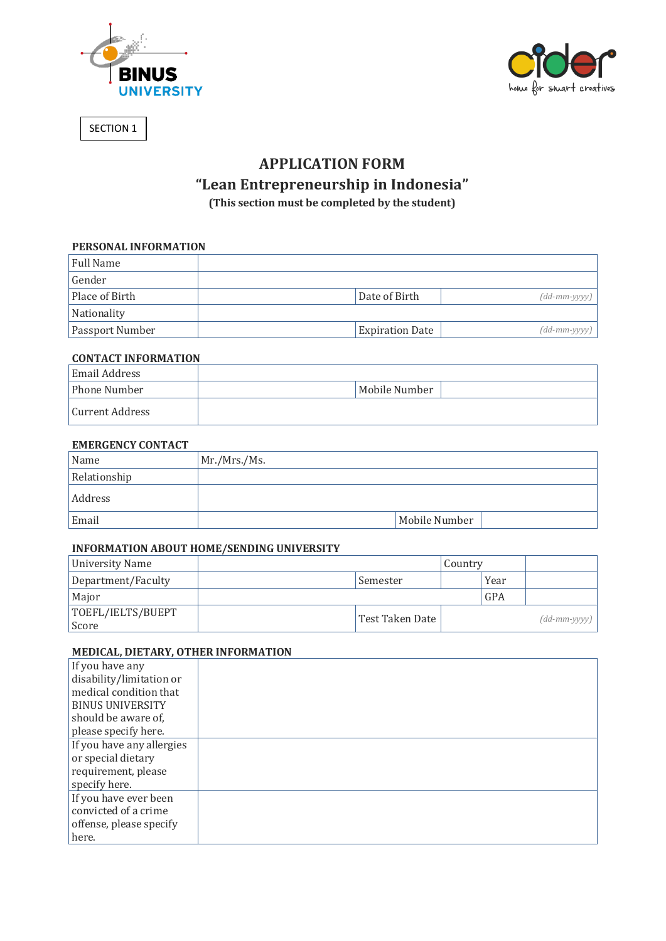



SECTION 1

# **APPLICATION FORM**

# **"Lean Entrepreneurship in Indonesia"**

**(This section must be completed by the student)**

# **PERSONAL INFORMATION**

| Full Name              |                        |                             |
|------------------------|------------------------|-----------------------------|
| Gender                 |                        |                             |
| Place of Birth         | Date of Birth          | $(dd\text{-}mm\text{-}yyyy$ |
| Nationality            |                        |                             |
| <b>Passport Number</b> | <b>Expiration Date</b> | $(dd\text{-}mm\text{-}yyyy$ |

#### **CONTACT INFORMATION**

| <b>Email Address</b> |               |
|----------------------|---------------|
| Phone Number         | Mobile Number |
| Current Address      |               |

## **EMERGENCY CONTACT**

| Name         | Mr./Mrs./Ms.  |
|--------------|---------------|
| Relationship |               |
| Address      |               |
| Email        | Mobile Number |

## **INFORMATION ABOUT HOME/SENDING UNIVERSITY**

| University Name            |                 | Country |      |                              |
|----------------------------|-----------------|---------|------|------------------------------|
| Department/Faculty         | Semester        |         | Year |                              |
| Major                      |                 |         | GPA  |                              |
| TOEFL/IELTS/BUEPT<br>Score | Test Taken Date |         |      | $(dd\text{-}mm\text{-}yyy$ ) |

# **MEDICAL, DIETARY, OTHER INFORMATION**

| If you have any           |  |
|---------------------------|--|
| disability/limitation or  |  |
| medical condition that    |  |
| <b>BINUS UNIVERSITY</b>   |  |
| should be aware of,       |  |
| please specify here.      |  |
| If you have any allergies |  |
| or special dietary        |  |
| requirement, please       |  |
| specify here.             |  |
| If you have ever been     |  |
| convicted of a crime      |  |
| offense, please specify   |  |
| here.                     |  |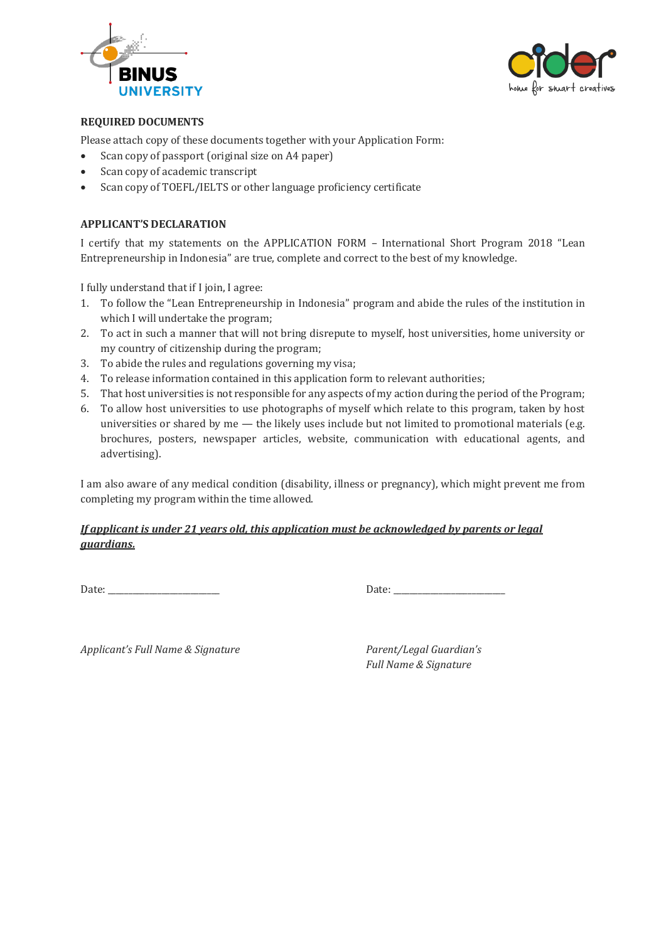



# **REQUIRED DOCUMENTS**

Please attach copy of these documents together with your Application Form:

- Scan copy of passport (original size on A4 paper)
- Scan copy of academic transcript
- Scan copy of TOEFL/IELTS or other language proficiency certificate

#### **APPLICANT'S DECLARATION**

I certify that my statements on the APPLICATION FORM – International Short Program 2018 "Lean Entrepreneurship in Indonesia" are true, complete and correct to the best of my knowledge.

I fully understand that if I join, I agree:

- 1. To follow the "Lean Entrepreneurship in Indonesia" program and abide the rules of the institution in which I will undertake the program;
- 2. To act in such a manner that will not bring disrepute to myself, host universities, home university or my country of citizenship during the program;
- 3. To abide the rules and regulations governing my visa;
- 4. To release information contained in this application form to relevant authorities;
- 5. That host universities is not responsible for any aspects of my action during the period of the Program;
- 6. To allow host universities to use photographs of myself which relate to this program, taken by host universities or shared by me — the likely uses include but not limited to promotional materials (e.g. brochures, posters, newspaper articles, website, communication with educational agents, and advertising).

I am also aware of any medical condition (disability, illness or pregnancy), which might prevent me from completing my program within the time allowed.

## *If applicant is under 21 years old, this application must be acknowledged by parents or legal guardians.*

Date: \_\_\_\_\_\_\_\_\_\_\_\_\_\_\_\_\_\_\_\_\_\_\_\_\_\_\_ Date: \_\_\_\_\_\_\_\_\_\_\_\_\_\_\_\_\_\_\_\_\_\_\_\_\_\_\_

*Applicant's Full Name & Signature Parent/Legal Guardian's* 

*Full Name & Signature*